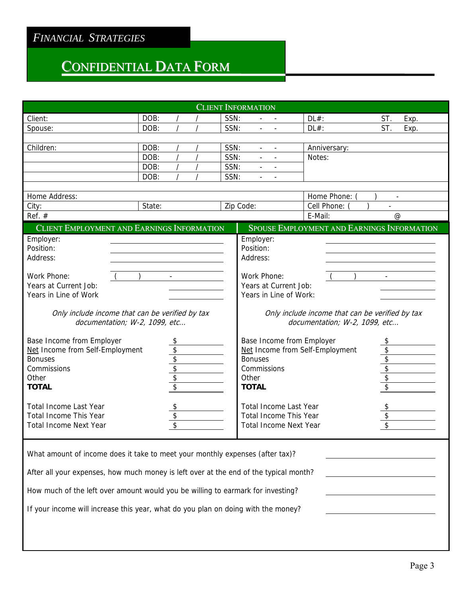# CONFIDENTIAL DATA FORM

| <b>CLIENT INFORMATION</b>                                                                                                                                            |        |          |  |      |                                 |                          |                                            |                                                      |
|----------------------------------------------------------------------------------------------------------------------------------------------------------------------|--------|----------|--|------|---------------------------------|--------------------------|--------------------------------------------|------------------------------------------------------|
| Client:                                                                                                                                                              | DOB:   |          |  | SSN: |                                 |                          | $DL#$ :                                    | ST.<br>Exp.                                          |
| Spouse:                                                                                                                                                              | DOB:   |          |  | SSN: |                                 |                          | $DL#$ :                                    | ST.<br>Exp.                                          |
|                                                                                                                                                                      |        |          |  |      |                                 |                          |                                            |                                                      |
| Children:                                                                                                                                                            | DOB:   |          |  | SSN: | $\blacksquare$                  | $\overline{\phantom{a}}$ | Anniversary:                               |                                                      |
|                                                                                                                                                                      | DOB:   |          |  | SSN: | $\mathbf{u}$                    | $\overline{\phantom{a}}$ | Notes:                                     |                                                      |
|                                                                                                                                                                      | DOB:   |          |  | SSN: |                                 |                          |                                            |                                                      |
|                                                                                                                                                                      | DOB:   |          |  | SSN: |                                 | $\blacksquare$           |                                            |                                                      |
| Home Address:                                                                                                                                                        |        |          |  |      |                                 |                          | Home Phone:                                |                                                      |
| City:                                                                                                                                                                | State: |          |  |      | Zip Code:                       |                          | Cell Phone:                                | $\overline{\phantom{a}}$<br>$\overline{\phantom{a}}$ |
| Ref. $#$                                                                                                                                                             |        |          |  |      |                                 |                          | E-Mail:                                    | $\omega$                                             |
| CLIENT EMPLOYMENT AND EARNINGS INFORMATION                                                                                                                           |        |          |  |      |                                 |                          | SPOUSE EMPLOYMENT AND EARNINGS INFORMATION |                                                      |
|                                                                                                                                                                      |        |          |  |      |                                 |                          |                                            |                                                      |
| Employer:<br>Position:                                                                                                                                               |        |          |  |      | Employer:<br>Position:          |                          |                                            |                                                      |
| Address:                                                                                                                                                             |        |          |  |      | Address:                        |                          |                                            |                                                      |
|                                                                                                                                                                      |        |          |  |      |                                 |                          |                                            |                                                      |
| Work Phone:                                                                                                                                                          |        |          |  |      | Work Phone:                     |                          |                                            |                                                      |
| Years at Current Job:                                                                                                                                                |        |          |  |      | Years at Current Job:           |                          |                                            |                                                      |
| Years in Line of Work                                                                                                                                                |        |          |  |      | Years in Line of Work:          |                          |                                            |                                                      |
|                                                                                                                                                                      |        |          |  |      |                                 |                          |                                            |                                                      |
| Only include income that can be verified by tax<br>Only include income that can be verified by tax<br>documentation; W-2, 1099, etc<br>documentation; W-2, 1099, etc |        |          |  |      |                                 |                          |                                            |                                                      |
| Base Income from Employer                                                                                                                                            |        | \$       |  |      |                                 |                          | Base Income from Employer                  | \$                                                   |
| Net Income from Self-Employment                                                                                                                                      |        |          |  |      |                                 |                          | Net Income from Self-Employment            | $\boldsymbol{\mathsf{S}}$                            |
| <b>Bonuses</b>                                                                                                                                                       |        | \$\$\$\$ |  |      | $\frac{6}{3}$<br><b>Bonuses</b> |                          |                                            |                                                      |
| Commissions                                                                                                                                                          |        |          |  |      | Commissions                     |                          |                                            |                                                      |
| Other                                                                                                                                                                |        |          |  |      | Other                           |                          |                                            | \$                                                   |
| <b>TOTAL</b>                                                                                                                                                         |        |          |  |      | <b>TOTAL</b>                    |                          |                                            |                                                      |
| <b>Total Income Last Year</b>                                                                                                                                        |        | \$       |  |      | <b>Total Income Last Year</b>   |                          |                                            | \$                                                   |
| <b>Total Income This Year</b>                                                                                                                                        |        | \$       |  |      | <b>Total Income This Year</b>   |                          |                                            | \$                                                   |
| <b>Total Income Next Year</b>                                                                                                                                        |        | \$       |  |      | <b>Total Income Next Year</b>   |                          |                                            | \$                                                   |
|                                                                                                                                                                      |        |          |  |      |                                 |                          |                                            |                                                      |
| What amount of income does it take to meet your monthly expenses (after tax)?                                                                                        |        |          |  |      |                                 |                          |                                            |                                                      |
| After all your expenses, how much money is left over at the end of the typical month?                                                                                |        |          |  |      |                                 |                          |                                            |                                                      |
| How much of the left over amount would you be willing to earmark for investing?                                                                                      |        |          |  |      |                                 |                          |                                            |                                                      |
| If your income will increase this year, what do you plan on doing with the money?                                                                                    |        |          |  |      |                                 |                          |                                            |                                                      |
|                                                                                                                                                                      |        |          |  |      |                                 |                          |                                            |                                                      |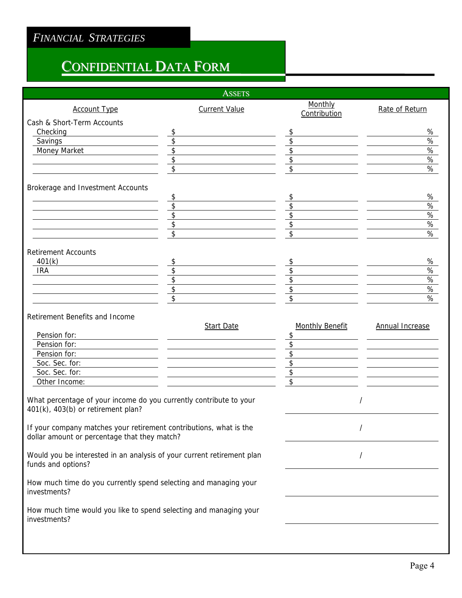# CONFIDENTIAL DATA FORM

|                                                                                                                                     | <b>ASSETS</b>        |                                                            |                        |
|-------------------------------------------------------------------------------------------------------------------------------------|----------------------|------------------------------------------------------------|------------------------|
| <b>Account Type</b>                                                                                                                 | <b>Current Value</b> | Monthly<br>Contribution                                    | Rate of Return         |
| Cash & Short-Term Accounts                                                                                                          |                      |                                                            |                        |
| Checking                                                                                                                            | \$                   | \$                                                         | %                      |
| Savings                                                                                                                             | \$                   | \$                                                         | %                      |
| Money Market                                                                                                                        | \$                   | \$                                                         | %                      |
|                                                                                                                                     | \$                   | \$                                                         | $\%$                   |
|                                                                                                                                     | \$                   | \$                                                         | $\%$                   |
| Brokerage and Investment Accounts                                                                                                   |                      |                                                            |                        |
|                                                                                                                                     | \$                   | \$                                                         | $\%$                   |
|                                                                                                                                     | \$                   | \$                                                         | $\%$                   |
|                                                                                                                                     | \$                   | \$                                                         | $\%$                   |
|                                                                                                                                     | \$                   | \$                                                         | $\%$                   |
|                                                                                                                                     | \$                   | \$                                                         | $\%$                   |
| <b>Retirement Accounts</b>                                                                                                          |                      |                                                            |                        |
| 401(k)                                                                                                                              | \$                   | \$                                                         | $\%$                   |
| <b>IRA</b>                                                                                                                          | \$                   | \$                                                         | $\%$                   |
|                                                                                                                                     | \$                   | \$                                                         | $\%$                   |
|                                                                                                                                     | \$                   | $\overline{\$}$                                            | $\%$                   |
|                                                                                                                                     | \$                   | $\boldsymbol{\hat{z}}$                                     | %                      |
| Retirement Benefits and Income<br>Pension for:<br>Pension for:<br>Pension for:<br>Soc. Sec. for:<br>Soc. Sec. for:<br>Other Income: | <b>Start Date</b>    | <b>Monthly Benefit</b><br>\$<br>\$<br>\$<br>\$<br>\$<br>\$ | <b>Annual Increase</b> |
| What percentage of your income do you currently contribute to your<br>401(k), 403(b) or retirement plan?                            |                      | $\prime$                                                   |                        |
| If your company matches your retirement contributions, what is the<br>dollar amount or percentage that they match?                  |                      | $\prime$                                                   |                        |
| Would you be interested in an analysis of your current retirement plan<br>funds and options?                                        |                      | $\overline{\phantom{a}}$                                   |                        |
| How much time do you currently spend selecting and managing your<br>investments?                                                    |                      |                                                            |                        |
| How much time would you like to spend selecting and managing your<br>investments?                                                   |                      |                                                            |                        |
|                                                                                                                                     |                      |                                                            |                        |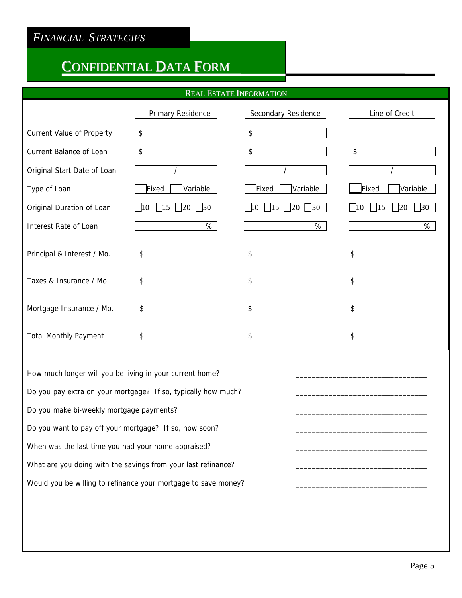## CONFIDENTIAL DATA FORM

#### REAL ESTATE INFORMATION

|                                  | Primary Residence                                    | Secondary Residence                         | Line of Credit                             |
|----------------------------------|------------------------------------------------------|---------------------------------------------|--------------------------------------------|
| <b>Current Value of Property</b> | \$                                                   | $\sqrt[6]{\frac{1}{2}}$                     |                                            |
| <b>Current Balance of Loan</b>   | \$                                                   | \$                                          | $\sqrt[6]{\frac{1}{2}}$                    |
| Original Start Date of Loan      |                                                      |                                             |                                            |
| Type of Loan                     | Variable<br>Fixed                                    | Variable<br>Fixed                           | Fixed<br>Variable                          |
| Original Duration of Loan        | 30<br>$\mathbf{\mathsf{L}}$ 15<br>$ 20\rangle$<br>10 | 15<br>20<br>$\sqrt{30}$<br>$\overline{110}$ | $\sqrt{15}$<br>20<br>10<br>30 <sup>°</sup> |
| Interest Rate of Loan            | %                                                    | %                                           | %                                          |
| Principal & Interest / Mo.       | \$                                                   | \$                                          | \$                                         |
| Taxes & Insurance / Mo.          | \$                                                   | \$                                          | \$                                         |
| Mortgage Insurance / Mo.         | $\sqrt[6]{\frac{1}{2}}$                              | \$                                          | \$                                         |
| <b>Total Monthly Payment</b>     | S                                                    |                                             | \$                                         |

How much longer will you be living in your current home? Do you pay extra on your mortgage? If so, typically how much? Do you make bi-weekly mortgage payments? Do you want to pay off your mortgage? If so, how soon? When was the last time you had your home appraised? What are you doing with the savings from your last refinance? Would you be willing to refinance your mortgage to save money?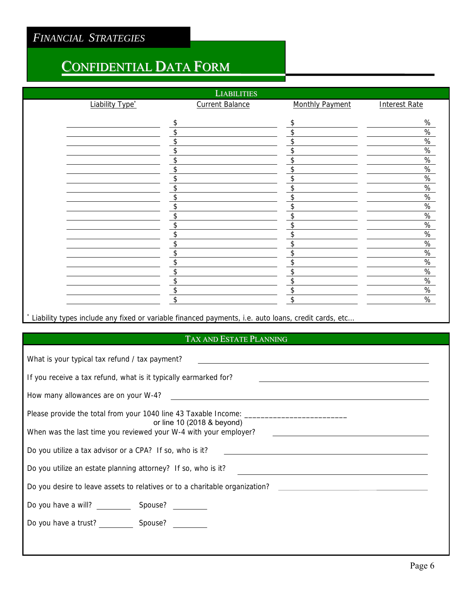## CONFIDENTIAL DATA FORM

| <b>LIABILITIES</b>          |                        |                        |                      |  |  |
|-----------------------------|------------------------|------------------------|----------------------|--|--|
| Liability Type <sup>*</sup> | <b>Current Balance</b> | <b>Monthly Payment</b> | <b>Interest Rate</b> |  |  |
|                             | \$                     | \$                     | %                    |  |  |
|                             | \$                     | \$                     |                      |  |  |
|                             |                        | \$                     | $\frac{\%}{\%}$      |  |  |
|                             | \$                     | \$                     | $\%$                 |  |  |
|                             | \$                     | \$                     | $\%$                 |  |  |
|                             | \$                     | \$                     | $\%$                 |  |  |
|                             | ፍ                      | \$.                    | $\%$                 |  |  |
|                             | ፍ                      | \$                     | $\%$                 |  |  |
|                             | ¢                      | \$                     | %                    |  |  |
|                             | \$                     | \$                     | $\frac{\%}{\%}$      |  |  |
|                             | \$                     | \$                     | $\%$                 |  |  |
|                             |                        | \$                     | $\frac{9}{6}$        |  |  |
|                             |                        | \$                     | $\%$                 |  |  |
|                             | \$                     | \$                     | $\%$                 |  |  |
|                             | \$                     | \$                     | $\%$                 |  |  |
|                             | \$                     | \$                     | $\%$                 |  |  |
|                             | \$                     | \$                     | $\%$                 |  |  |
|                             | \$                     | \$                     | $\%$                 |  |  |
|                             | \$                     | \$                     | $\%$                 |  |  |
|                             | \$                     | \$                     | $\%$                 |  |  |

 \* Liability types include any fixed or variable financed payments, i.e. auto loans, credit cards, etc…

### TAX AND ESTATE PLANNING

| What is your typical tax refund / tax payment?                                                 |  |  |  |  |
|------------------------------------------------------------------------------------------------|--|--|--|--|
| If you receive a tax refund, what is it typically earmarked for?                               |  |  |  |  |
|                                                                                                |  |  |  |  |
| or line 10 (2018 & beyond)<br>When was the last time you reviewed your W-4 with your employer? |  |  |  |  |
| Do you utilize a tax advisor or a CPA? If so, who is it?                                       |  |  |  |  |
| Do you utilize an estate planning attorney? If so, who is it?                                  |  |  |  |  |
| Do you desire to leave assets to relatives or to a charitable organization?                    |  |  |  |  |
| Do you have a will? Spouse?                                                                    |  |  |  |  |
| Do you have a trust? Spouse?                                                                   |  |  |  |  |
|                                                                                                |  |  |  |  |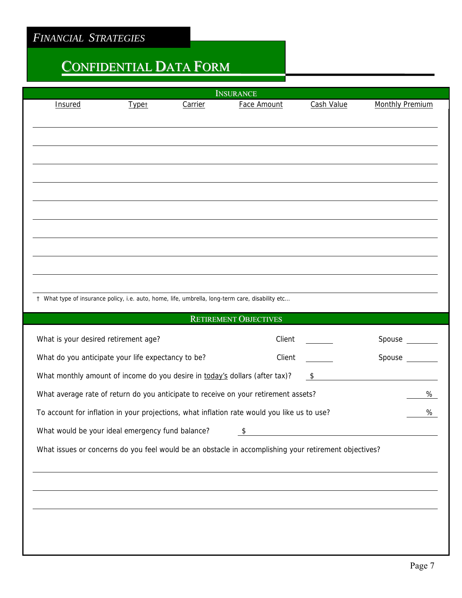# CONFIDENTIAL DATA FORM

| <b>INSURANCE</b>                                                                                      |                                                                                             |         |                                                                                     |                                                                                                                                                                                                                                      |                        |  |
|-------------------------------------------------------------------------------------------------------|---------------------------------------------------------------------------------------------|---------|-------------------------------------------------------------------------------------|--------------------------------------------------------------------------------------------------------------------------------------------------------------------------------------------------------------------------------------|------------------------|--|
| Insured                                                                                               | <b>Typet</b>                                                                                | Carrier | Face Amount                                                                         | Cash Value                                                                                                                                                                                                                           | <b>Monthly Premium</b> |  |
|                                                                                                       |                                                                                             |         |                                                                                     |                                                                                                                                                                                                                                      |                        |  |
|                                                                                                       |                                                                                             |         |                                                                                     |                                                                                                                                                                                                                                      |                        |  |
|                                                                                                       |                                                                                             |         |                                                                                     |                                                                                                                                                                                                                                      |                        |  |
|                                                                                                       |                                                                                             |         |                                                                                     |                                                                                                                                                                                                                                      |                        |  |
|                                                                                                       |                                                                                             |         |                                                                                     |                                                                                                                                                                                                                                      |                        |  |
|                                                                                                       |                                                                                             |         |                                                                                     |                                                                                                                                                                                                                                      |                        |  |
|                                                                                                       |                                                                                             |         |                                                                                     |                                                                                                                                                                                                                                      |                        |  |
|                                                                                                       |                                                                                             |         |                                                                                     |                                                                                                                                                                                                                                      |                        |  |
|                                                                                                       |                                                                                             |         |                                                                                     |                                                                                                                                                                                                                                      |                        |  |
|                                                                                                       |                                                                                             |         |                                                                                     |                                                                                                                                                                                                                                      |                        |  |
|                                                                                                       |                                                                                             |         |                                                                                     |                                                                                                                                                                                                                                      |                        |  |
| † What type of insurance policy, i.e. auto, home, life, umbrella, long-term care, disability etc      |                                                                                             |         |                                                                                     |                                                                                                                                                                                                                                      |                        |  |
|                                                                                                       |                                                                                             |         | <b>RETIREMENT OBJECTIVES</b>                                                        |                                                                                                                                                                                                                                      |                        |  |
| What is your desired retirement age?                                                                  |                                                                                             |         | Client                                                                              |                                                                                                                                                                                                                                      | Spouse                 |  |
| What do you anticipate your life expectancy to be?                                                    |                                                                                             |         | Client                                                                              |                                                                                                                                                                                                                                      | Spouse                 |  |
| What monthly amount of income do you desire in today's dollars (after tax)?                           |                                                                                             |         |                                                                                     | $\sqrt{5}$                                                                                                                                                                                                                           |                        |  |
|                                                                                                       |                                                                                             |         | What average rate of return do you anticipate to receive on your retirement assets? |                                                                                                                                                                                                                                      | %                      |  |
|                                                                                                       | To account for inflation in your projections, what inflation rate would you like us to use? |         |                                                                                     |                                                                                                                                                                                                                                      |                        |  |
| What would be your ideal emergency fund balance?                                                      |                                                                                             |         | $\sqrt[6]{\frac{1}{2}}$                                                             | <u>and the state of the state of the state of the state of the state of the state of the state of the state of the state of the state of the state of the state of the state of the state of the state of the state of the state</u> |                        |  |
| What issues or concerns do you feel would be an obstacle in accomplishing your retirement objectives? |                                                                                             |         |                                                                                     |                                                                                                                                                                                                                                      |                        |  |
|                                                                                                       |                                                                                             |         |                                                                                     |                                                                                                                                                                                                                                      |                        |  |
|                                                                                                       |                                                                                             |         |                                                                                     |                                                                                                                                                                                                                                      |                        |  |
|                                                                                                       |                                                                                             |         |                                                                                     |                                                                                                                                                                                                                                      |                        |  |
|                                                                                                       |                                                                                             |         |                                                                                     |                                                                                                                                                                                                                                      |                        |  |
|                                                                                                       |                                                                                             |         |                                                                                     |                                                                                                                                                                                                                                      |                        |  |
|                                                                                                       |                                                                                             |         |                                                                                     |                                                                                                                                                                                                                                      |                        |  |